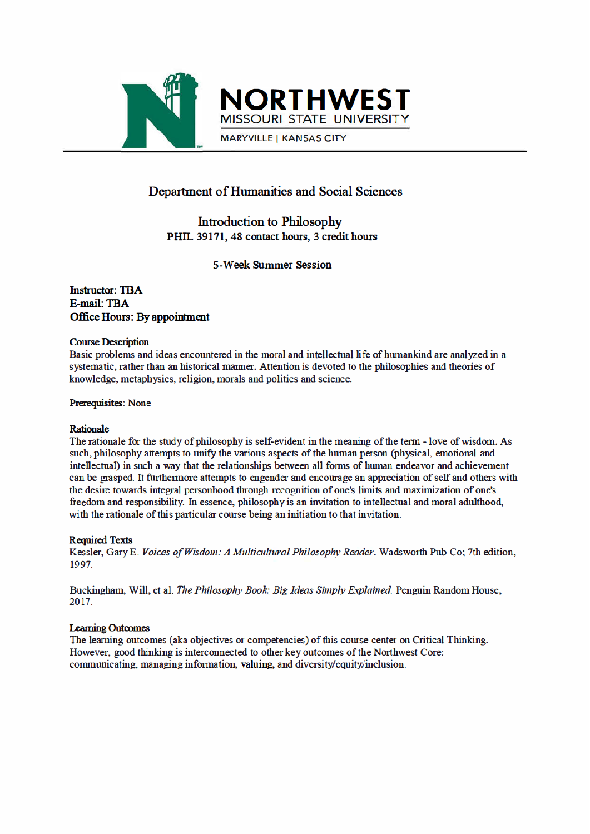



**MARYVILLE | KANSAS CITY** 

### Department of Humanities and Social Sciences

**Introduction to Philosophy** PHIL 39171, 48 contact hours, 3 credit hours

**5-Week Summer Session** 

**Instructor: TBA** E-mail: TBA Office Hours: By appointment

### **Course Description**

Basic problems and ideas encountered in the moral and intellectual life of humankind are analyzed in a systematic, rather than an historical manner. Attention is devoted to the philosophies and theories of knowledge, metaphysics, religion, morals and politics and science.

Prerequisites: None

### Rationale

The rationale for the study of philosophy is self-evident in the meaning of the term - love of wisdom. As such, philosophy attempts to unify the various aspects of the human person (physical, emotional and intellectual) in such a way that the relationships between all forms of human endeavor and achievement can be grasped. It furthermore attempts to engender and encourage an appreciation of self and others with the desire towards integral personhood through recognition of one's limits and maximization of one's freedom and responsibility. In essence, philosophy is an invitation to intellectual and moral adulthood, with the rationale of this particular course being an initiation to that invitation.

### **Required Texts**

Kessler, Gary E. Voices of Wisdom: A Multicultural Philosophy Reader. Wadsworth Pub Co; 7th edition, 1997.

Buckingham, Will, et al. The Philosophy Book: Big Ideas Simply Explained. Penguin Random House, 2017.

### **Learning Outcomes**

The learning outcomes (aka objectives or competencies) of this course center on Critical Thinking. However, good thinking is interconnected to other key outcomes of the Northwest Core: communicating, managing information, valuing, and diversity/equity/inclusion.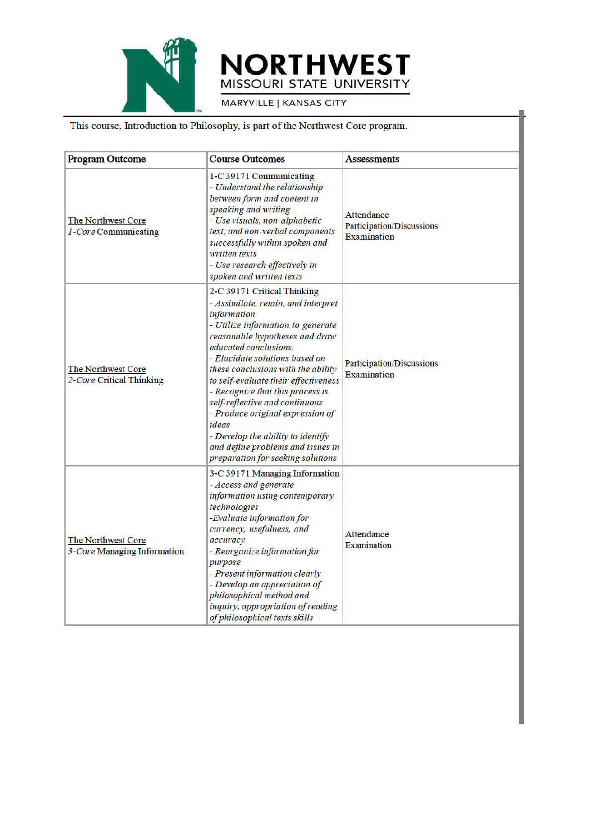

# **NORTHWEST** MISSOURI STATE UNIVERSITY

MARYVILLE | KANSAS CITY

### This course, Introduction to Philosophy, is part of the Northwest Core program.

| <b>Program Outcome</b>                            | <b>Course Outcomes</b>                                                                                                                                                                                                                                                                                                                                                                                                                                                                                                              | <b>Assessments</b>                                                          |
|---------------------------------------------------|-------------------------------------------------------------------------------------------------------------------------------------------------------------------------------------------------------------------------------------------------------------------------------------------------------------------------------------------------------------------------------------------------------------------------------------------------------------------------------------------------------------------------------------|-----------------------------------------------------------------------------|
| The Northwest Core<br>1-Core Communicating        | 1-C 39171 Communicating<br>- Understand the relationship<br>between form and content in<br>speaking and writing<br>- Use visuals, non-alphabetic<br>text, and non-verbal components<br>successfully within spoken and<br>written texts<br>- Use research effectively in<br>spoken and written texts                                                                                                                                                                                                                                 | <b>Attendance</b><br><b>Participation/Discussions</b><br><b>Examination</b> |
| The Northwest Core<br>2-Core Critical Thinking    | 2-C 39171 Critical Thinking<br>- Assimilate, retain, and interpret<br>information<br>- Utilize information to generate<br>reasonable hypotheses and draw<br>educated conclusions.<br>- Elucidate solutions based on<br>these conclusions with the ability<br>to self-evaluate their effectiveness<br>- Recognize that this process is<br>self-reflective and continuous<br>- Produce original expression of<br>ideas<br>- Develop the ability to identify<br>and define problems and issues in<br>preparation for seeking solutions | <b>Participation/Discussions</b><br><b>Examination</b>                      |
| The Northwest Core<br>3-Core Managing Information | 3-C 39171 Managing Information<br>- Access and generate<br>information using contemporary<br>technologies<br>-Evaluate information for<br>currency, usefulness, and<br>accuracy<br>- Reorganize information for<br>purpose<br>- Present information clearly<br>- Develop an appreciation of<br>philosophical method and<br>inquiry, appropriation of reading<br>of philosophical texts skills                                                                                                                                       | Attendance<br>Examination                                                   |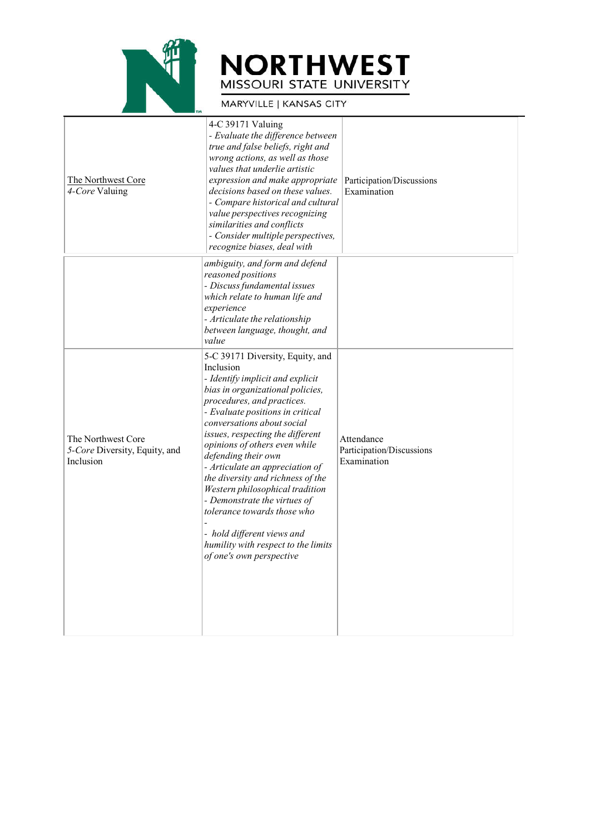

## **NORTHWEST** MISSOURI STATE UNIVERSITY

MARYVILLE | KANSAS CITY

| The Northwest Core<br>4-Core Valuing                             | 4-C 39171 Valuing<br>- Evaluate the difference between<br>true and false beliefs, right and<br>wrong actions, as well as those<br>values that underlie artistic<br>expression and make appropriate<br>decisions based on these values.<br>- Compare historical and cultural<br>value perspectives recognizing<br>similarities and conflicts<br>- Consider multiple perspectives,<br>recognize biases, deal with                                                                                                                                                                              | Participation/Discussions<br>Examination               |
|------------------------------------------------------------------|----------------------------------------------------------------------------------------------------------------------------------------------------------------------------------------------------------------------------------------------------------------------------------------------------------------------------------------------------------------------------------------------------------------------------------------------------------------------------------------------------------------------------------------------------------------------------------------------|--------------------------------------------------------|
|                                                                  | ambiguity, and form and defend<br>reasoned positions<br>- Discuss fundamental issues<br>which relate to human life and<br>experience<br>- Articulate the relationship<br>between language, thought, and<br>value                                                                                                                                                                                                                                                                                                                                                                             |                                                        |
| The Northwest Core<br>5-Core Diversity, Equity, and<br>Inclusion | 5-C 39171 Diversity, Equity, and<br>Inclusion<br>- Identify implicit and explicit<br>bias in organizational policies,<br>procedures, and practices.<br>- Evaluate positions in critical<br>conversations about social<br>issues, respecting the different<br>opinions of others even while<br>defending their own<br>- Articulate an appreciation of<br>the diversity and richness of the<br>Western philosophical tradition<br>- Demonstrate the virtues of<br>tolerance towards those who<br>- hold different views and<br>humility with respect to the limits<br>of one's own perspective | Attendance<br>Participation/Discussions<br>Examination |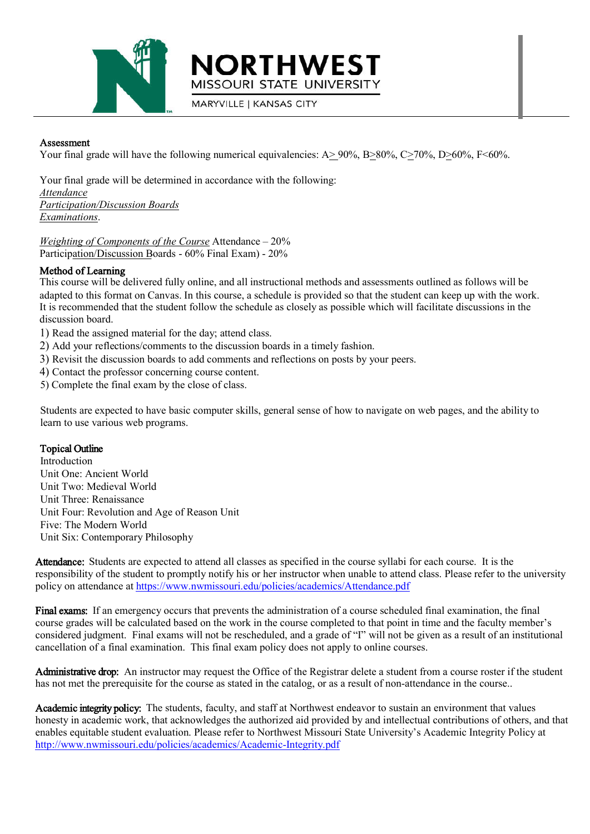

Assessment

Your final grade will have the following numerical equivalencies: A>90%, B>80%, C>70%, D>60%, F<60%.

**MARYVILLE | KANSAS CITY** 

**NORTHWEST** 

MISSOURI STATE UNIVERSITY

Your final grade will be determined in accordance with the following: *Attendance Participation/Discussion Boards Examinations*.

*Weighting of Components of the Course* Attendance – 20% Participation/Discussion Boards - 60% Final Exam) - 20%

### Method of Learning

This course will be delivered fully online, and all instructional methods and assessments outlined as follows will be adapted to this format on Canvas. In this course, a schedule is provided so that the student can keep up with the work. It is recommended that the student follow the schedule as closely as possible which will facilitate discussions in the discussion board.

- 1) Read the assigned material for the day; attend class.
- 2) Add your reflections/comments to the discussion boards in a timely fashion.
- 3) Revisit the discussion boards to add comments and reflections on posts by your peers.
- 4) Contact the professor concerning course content.
- 5) Complete the final exam by the close of class.

Students are expected to have basic computer skills, general sense of how to navigate on web pages, and the ability to learn to use various web programs.

### Topical Outline

Introduction Unit One: Ancient World Unit Two: Medieval World Unit Three: Renaissance Unit Four: Revolution and Age of Reason Unit Five: The Modern World Unit Six: Contemporary Philosophy

Attendance: Students are expected to attend all classes as specified in the course syllabi for each course. It is the responsibility of the student to promptly notify his or her instructor when unable to attend class. Please refer to the university policy on attendance at https://www.nwmissouri.edu/policies/academics/Attendance.pdf

Final exams: If an emergency occurs that prevents the administration of a course scheduled final examination, the final course grades will be calculated based on the work in the course completed to that point in time and the faculty member's considered judgment. Final exams will not be rescheduled, and a grade of "I" will not be given as a result of an institutional cancellation of a final examination. This final exam policy does not apply to online courses.

Administrative drop: An instructor may request the Office of the Registrar delete a student from a course roster if the student has not met the prerequisite for the course as stated in the catalog, or as a result of non-attendance in the course..

Academic integrity policy: The students, faculty, and staff at Northwest endeavor to sustain an environment that values honesty in academic work, that acknowledges the authorized aid provided by and intellectual contributions of others, and that enables equitable student evaluation. Please refer to Northwest Missouri State University's Academic Integrity Policy at http://www.nwmissouri.edu/policies/academics/Academic-Integrity.pdf